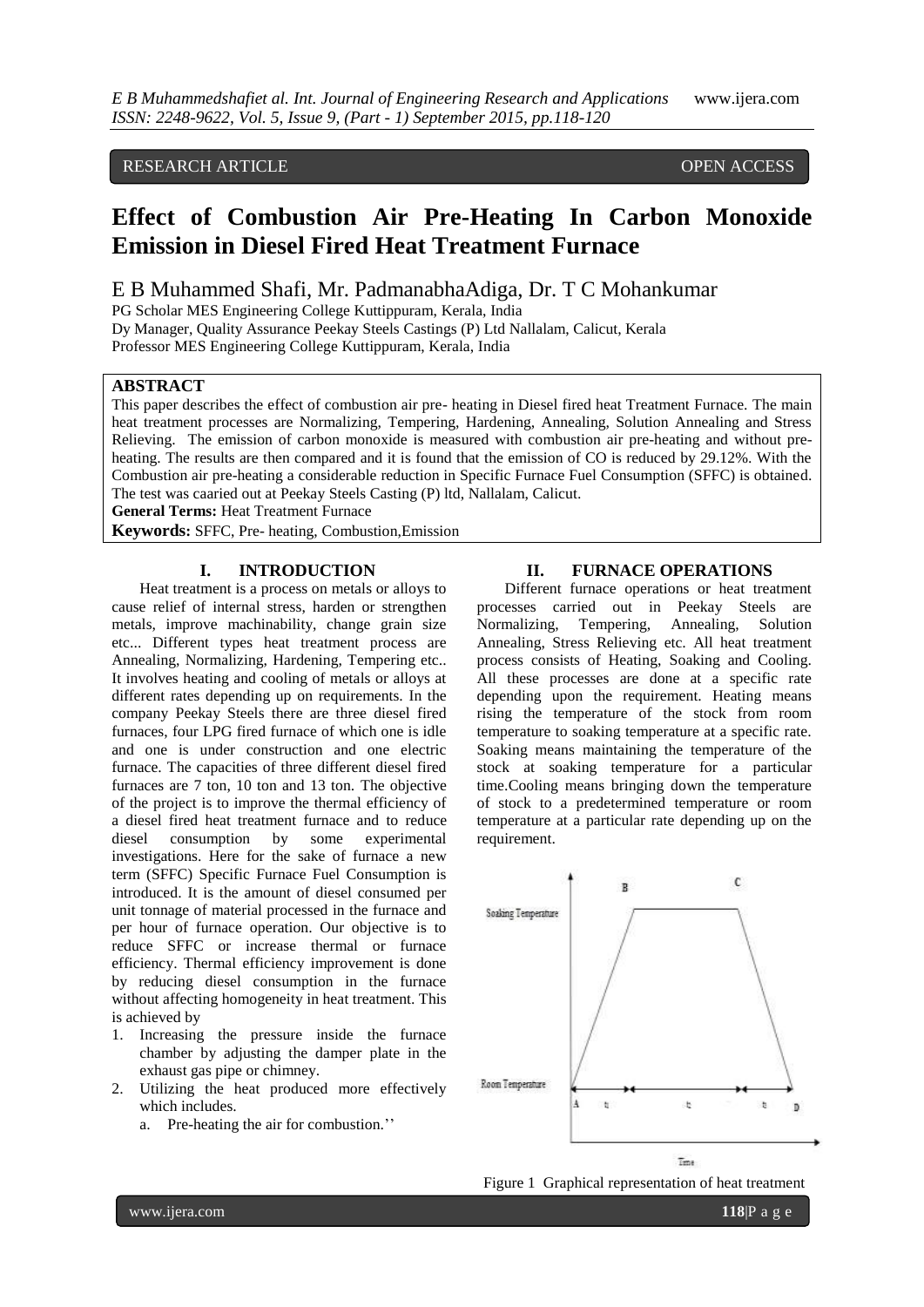# RESEARCH ARTICLE OPEN ACCESS

# **Effect of Combustion Air Pre-Heating In Carbon Monoxide Emission in Diesel Fired Heat Treatment Furnace**

# E B Muhammed Shafi, Mr. PadmanabhaAdiga, Dr. T C Mohankumar

PG Scholar MES Engineering College Kuttippuram, Kerala, India

Dy Manager, Quality Assurance Peekay Steels Castings (P) Ltd Nallalam, Calicut, Kerala

Professor MES Engineering College Kuttippuram, Kerala, India

## **ABSTRACT**

This paper describes the effect of combustion air pre- heating in Diesel fired heat Treatment Furnace. The main heat treatment processes are Normalizing, Tempering, Hardening, Annealing, Solution Annealing and Stress Relieving. The emission of carbon monoxide is measured with combustion air pre-heating and without preheating. The results are then compared and it is found that the emission of CO is reduced by 29.12%. With the Combustion air pre-heating a considerable reduction in Specific Furnace Fuel Consumption (SFFC) is obtained. The test was caaried out at Peekay Steels Casting (P) ltd, Nallalam, Calicut.

**General Terms:** Heat Treatment Furnace

**Keywords:** SFFC, Pre- heating, Combustion,Emission

### **I. INTRODUCTION**

Heat treatment is a process on metals or alloys to cause relief of internal stress, harden or strengthen metals, improve machinability, change grain size etc... Different types heat treatment process are Annealing, Normalizing, Hardening, Tempering etc.. It involves heating and cooling of metals or alloys at different rates depending up on requirements. In the company Peekay Steels there are three diesel fired furnaces, four LPG fired furnace of which one is idle and one is under construction and one electric furnace. The capacities of three different diesel fired furnaces are 7 ton, 10 ton and 13 ton. The objective of the project is to improve the thermal efficiency of a diesel fired heat treatment furnace and to reduce diesel consumption by some experimental investigations. Here for the sake of furnace a new term (SFFC) Specific Furnace Fuel Consumption is introduced. It is the amount of diesel consumed per unit tonnage of material processed in the furnace and per hour of furnace operation. Our objective is to reduce SFFC or increase thermal or furnace efficiency. Thermal efficiency improvement is done by reducing diesel consumption in the furnace without affecting homogeneity in heat treatment. This is achieved by

- 1. Increasing the pressure inside the furnace chamber by adjusting the damper plate in the exhaust gas pipe or chimney.
- 2. Utilizing the heat produced more effectively which includes.
	- a. Pre-heating the air for combustion.''

## **II. FURNACE OPERATIONS**

Different furnace operations or heat treatment processes carried out in Peekay Steels are Normalizing, Tempering, Annealing, Solution Annealing, Stress Relieving etc. All heat treatment process consists of Heating, Soaking and Cooling. All these processes are done at a specific rate depending upon the requirement. Heating means rising the temperature of the stock from room temperature to soaking temperature at a specific rate. Soaking means maintaining the temperature of the stock at soaking temperature for a particular time.Cooling means bringing down the temperature of stock to a predetermined temperature or room temperature at a particular rate depending up on the requirement.



Figure 1 Graphical representation of heat treatment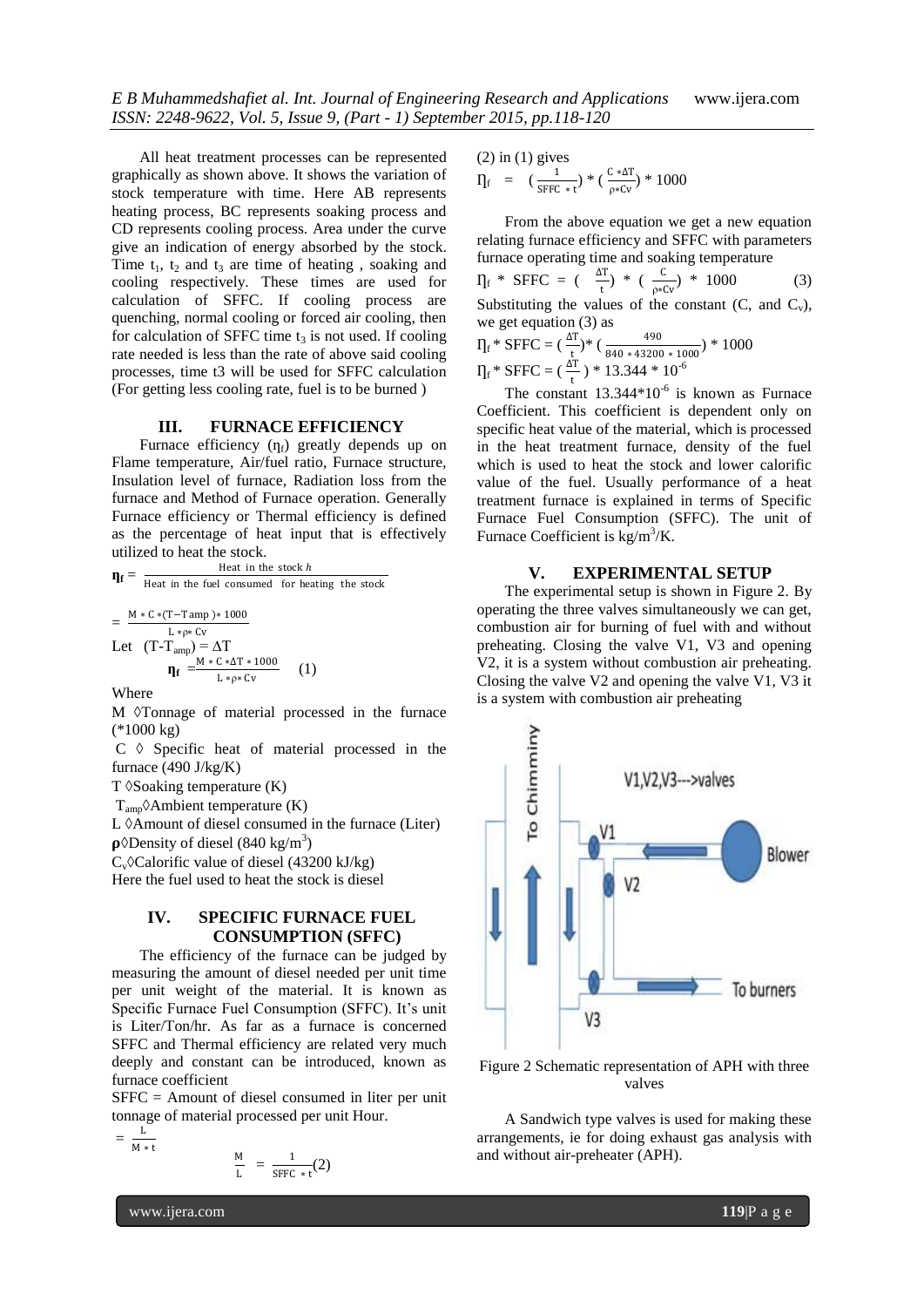All heat treatment processes can be represented graphically as shown above. It shows the variation of stock temperature with time. Here AB represents heating process, BC represents soaking process and CD represents cooling process. Area under the curve give an indication of energy absorbed by the stock. Time  $t_1$ ,  $t_2$  and  $t_3$  are time of heating, soaking and cooling respectively. These times are used for calculation of SFFC. If cooling process are quenching, normal cooling or forced air cooling, then for calculation of SFFC time  $t_3$  is not used. If cooling rate needed is less than the rate of above said cooling processes, time t3 will be used for SFFC calculation (For getting less cooling rate, fuel is to be burned )

#### **III. FURNACE EFFICIENCY**

Furnace efficiency  $(\eta_f)$  greatly depends up on Flame temperature, Air/fuel ratio, Furnace structure, Insulation level of furnace, Radiation loss from the furnace and Method of Furnace operation. Generally Furnace efficiency or Thermal efficiency is defined as the percentage of heat input that is effectively utilized to heat the stock.

 $\mathbf{\eta}_f =$ Heat in the stock  $h$ Heat in the fuel consumed for heating the stock =  $M * C * (T-Tamp) * 1000$ L ∗ρ∗ Cv

Let 
$$
(T-T_{amp}) = \Delta T
$$
  
\n
$$
\mathbf{\eta}_{\mathbf{f}} = \frac{M*C * \Delta T * 1000}{L * p * Cv}
$$
 (1)

Where

M  $\Diamond$ Tonnage of material processed in the furnace (\*1000 kg)

 $C \leftarrow$  Specific heat of material processed in the furnace (490 J/kg/K)

 $T \, \delta$ Soaking temperature  $(K)$ 

 $T_{\text{amp}}\lozenge$ Ambient temperature (K)

 $L \, \Diamond A$  mount of diesel consumed in the furnace (Liter)  $\rho$ <sup> $\lozenge$ </sup>Density of diesel (840 kg/m<sup>3</sup>)

 $C_v$  $C$ alorific value of diesel (43200 kJ/kg)

Here the fuel used to heat the stock is diesel

## **IV. SPECIFIC FURNACE FUEL CONSUMPTION (SFFC)**

The efficiency of the furnace can be judged by measuring the amount of diesel needed per unit time per unit weight of the material. It is known as Specific Furnace Fuel Consumption (SFFC). It's unit is Liter/Ton/hr. As far as a furnace is concerned SFFC and Thermal efficiency are related very much deeply and constant can be introduced, known as furnace coefficient

SFFC = Amount of diesel consumed in liter per unit tonnage of material processed per unit Hour.

$$
= \frac{L}{M*t}
$$

$$
\frac{M}{L} = \frac{1}{SFFC * t}(2)
$$

(2) in (1) gives  
\n
$$
\Pi_{f} = (\frac{1}{SFFC * t}) * (\frac{C * \Delta T}{\rho * Cv}) * 1000
$$

From the above equation we get a new equation relating furnace efficiency and SFFC with parameters furnace operating time and soaking temperature

$$
\Pi_{\text{f}} \cdot \text{SFFC} = \left( \begin{array}{c} \Delta \text{T} \\ \frac{1}{t} \end{array} \right) \cdot \left( \begin{array}{c} \frac{\text{C}}{\rho * \text{Cv}} \end{array} \right) \cdot \left( \begin{array}{c} 1000 \\ 1000 \end{array} \right) \tag{3}
$$

Substituting the values of the constant  $(C, \text{ and } C_v)$ , we get equation (3) as

$$
\eta_f * SFFC = (\frac{\Delta T}{t}) * (\frac{490}{840 * 43200 * 1000}) * 1000
$$
  

$$
\eta_f * SFFC = (\frac{\Delta T}{t}) * 13.344 * 10^{-6}
$$

The constant  $13.344*10^{-6}$  is known as Furnace Coefficient. This coefficient is dependent only on specific heat value of the material, which is processed in the heat treatment furnace, density of the fuel which is used to heat the stock and lower calorific value of the fuel. Usually performance of a heat treatment furnace is explained in terms of Specific Furnace Fuel Consumption (SFFC). The unit of Furnace Coefficient is  $\rm kg/m^3/K$ .

# **V. EXPERIMENTAL SETUP**

The experimental setup is shown in Figure 2. By operating the three valves simultaneously we can get, combustion air for burning of fuel with and without preheating. Closing the valve V1, V3 and opening V2, it is a system without combustion air preheating. Closing the valve V2 and opening the valve V1, V3 it is a system with combustion air preheating



Figure 2 Schematic representation of APH with three valves

A Sandwich type valves is used for making these arrangements, ie for doing exhaust gas analysis with and without air-preheater (APH).

www.ijera.com **119**|P a g e